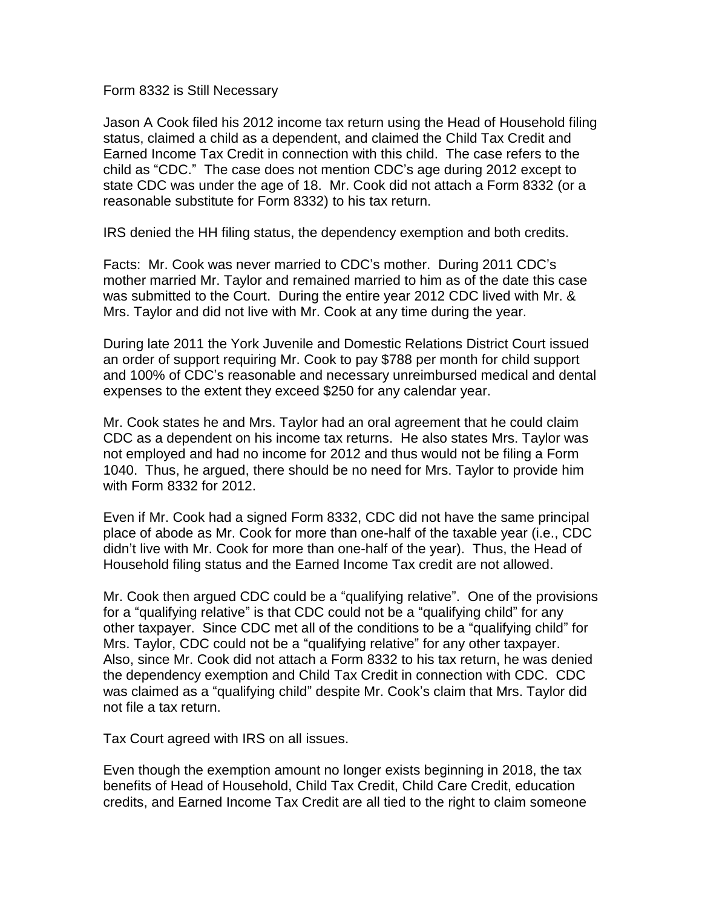Form 8332 is Still Necessary

Jason A Cook filed his 2012 income tax return using the Head of Household filing status, claimed a child as a dependent, and claimed the Child Tax Credit and Earned Income Tax Credit in connection with this child. The case refers to the child as "CDC." The case does not mention CDC's age during 2012 except to state CDC was under the age of 18. Mr. Cook did not attach a Form 8332 (or a reasonable substitute for Form 8332) to his tax return.

IRS denied the HH filing status, the dependency exemption and both credits.

Facts: Mr. Cook was never married to CDC's mother. During 2011 CDC's mother married Mr. Taylor and remained married to him as of the date this case was submitted to the Court. During the entire year 2012 CDC lived with Mr. & Mrs. Taylor and did not live with Mr. Cook at any time during the year.

During late 2011 the York Juvenile and Domestic Relations District Court issued an order of support requiring Mr. Cook to pay \$788 per month for child support and 100% of CDC's reasonable and necessary unreimbursed medical and dental expenses to the extent they exceed \$250 for any calendar year.

Mr. Cook states he and Mrs. Taylor had an oral agreement that he could claim CDC as a dependent on his income tax returns. He also states Mrs. Taylor was not employed and had no income for 2012 and thus would not be filing a Form 1040. Thus, he argued, there should be no need for Mrs. Taylor to provide him with Form 8332 for 2012.

Even if Mr. Cook had a signed Form 8332, CDC did not have the same principal place of abode as Mr. Cook for more than one-half of the taxable year (i.e., CDC didn't live with Mr. Cook for more than one-half of the year). Thus, the Head of Household filing status and the Earned Income Tax credit are not allowed.

Mr. Cook then argued CDC could be a "qualifying relative". One of the provisions for a "qualifying relative" is that CDC could not be a "qualifying child" for any other taxpayer. Since CDC met all of the conditions to be a "qualifying child" for Mrs. Taylor, CDC could not be a "qualifying relative" for any other taxpayer. Also, since Mr. Cook did not attach a Form 8332 to his tax return, he was denied the dependency exemption and Child Tax Credit in connection with CDC. CDC was claimed as a "qualifying child" despite Mr. Cook's claim that Mrs. Taylor did not file a tax return.

Tax Court agreed with IRS on all issues.

Even though the exemption amount no longer exists beginning in 2018, the tax benefits of Head of Household, Child Tax Credit, Child Care Credit, education credits, and Earned Income Tax Credit are all tied to the right to claim someone